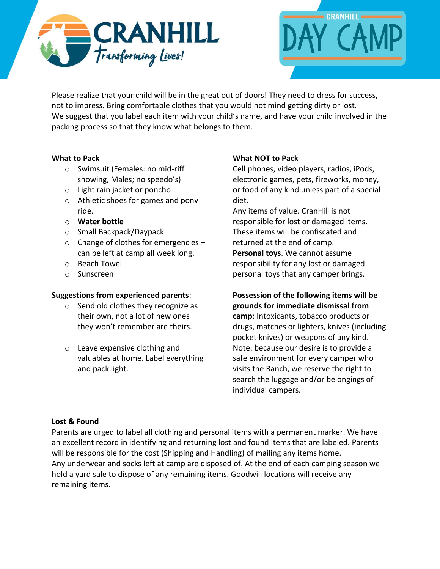



Please realize that your child will be in the great out of doors! They need to dress for success, not to impress. Bring comfortable clothes that you would not mind getting dirty or lost. We suggest that you label each item with your child's name, and have your child involved in the packing process so that they know what belongs to them.

## **What to Pack**

- o Swimsuit (Females: no mid-riff showing, Males; no speedo's)
- o Light rain jacket or poncho
- o Athletic shoes for games and pony ride.
- o **Water bottle**
- o Small Backpack/Daypack
- o Change of clothes for emergencies can be left at camp all week long.
- o Beach Towel
- o Sunscreen

## **Suggestions from experienced parents**:

- o Send old clothes they recognize as their own, not a lot of new ones they won't remember are theirs.
- o Leave expensive clothing and valuables at home. Label everything and pack light.

# **What NOT to Pack**

Cell phones, video players, radios, iPods, electronic games, pets, fireworks, money, or food of any kind unless part of a special diet.

Any items of value. CranHill is not responsible for lost or damaged items. These items will be confiscated and returned at the end of camp. **Personal toys**. We cannot assume responsibility for any lost or damaged personal toys that any camper brings.

## **Possession of the following items will be grounds for immediate dismissal from**

**camp:** Intoxicants, tobacco products or drugs, matches or lighters, knives (including pocket knives) or weapons of any kind. Note: because our desire is to provide a safe environment for every camper who visits the Ranch, we reserve the right to search the luggage and/or belongings of individual campers.

## **Lost & Found**

Parents are urged to label all clothing and personal items with a permanent marker. We have an excellent record in identifying and returning lost and found items that are labeled. Parents will be responsible for the cost (Shipping and Handling) of mailing any items home. Any underwear and socks left at camp are disposed of. At the end of each camping season we hold a yard sale to dispose of any remaining items. Goodwill locations will receive any remaining items.